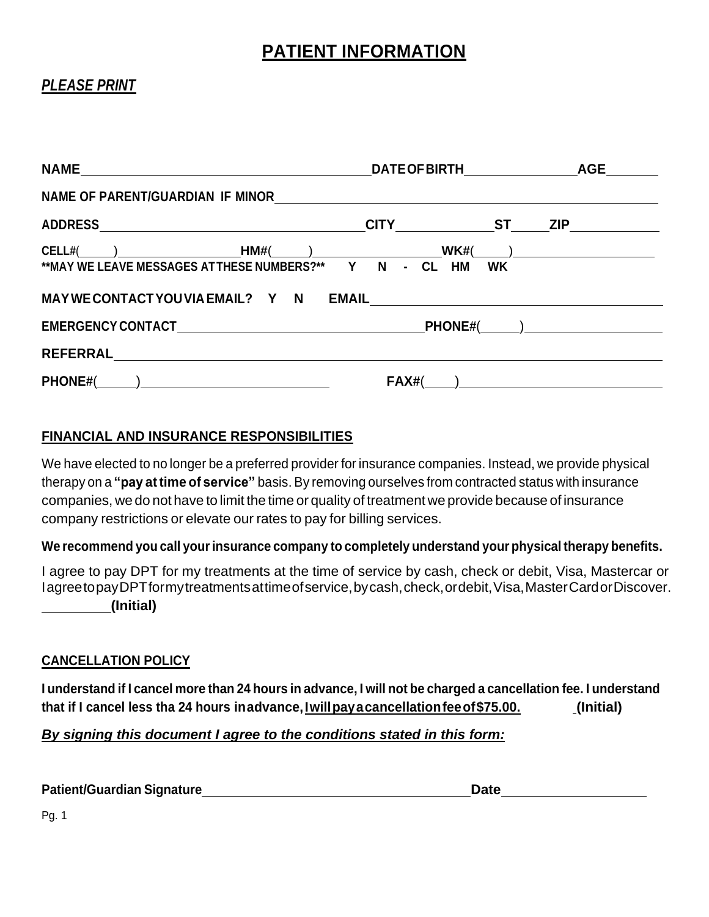# **PATIENT INFORMATION**

# *PLEASE PRINT*

|                                                                                                       | DATEOFBIRTH AGE                 |                                                                |
|-------------------------------------------------------------------------------------------------------|---------------------------------|----------------------------------------------------------------|
|                                                                                                       |                                 |                                                                |
|                                                                                                       | _CITY__________________ST______ | ZIP                                                            |
| $\textsf{CELL}\#(\_\_\_\_)\_\_\_\_\_\_\_\_$<br>**MAY WE LEAVE MESSAGES ATTHESE NUMBERS?** Y N - CL HM | <b>WK</b>                       |                                                                |
|                                                                                                       |                                 | <b>PHONE#(example)</b>                                         |
|                                                                                                       | <b>FAX#(</b>                    | ) and the contract of the contract of $\overline{\phantom{a}}$ |

## **FINANCIAL AND INSURANCE RESPONSIBILITIES**

We have elected to no longer be a preferred provider for insurance companies. Instead, we provide physical therapy on a **"pay at time of service"** basis. By removing ourselves from contracted status with insurance companies, we do not have to limit the time or quality of treatment we provide because of insurance company restrictions or elevate our rates to pay for billing services.

#### **We recommend you call yourinsurance company to completely understand your physical therapy benefits.**

I agree to pay DPT for my treatments at the time of service by cash, check or debit, Visa, Mastercar or IagreetopayDPTformytreatmentsattimeofservice,bycash,check,ordebit,Visa,MasterCardorDiscover. **(Initial)**

#### **CANCELLATION POLICY**

I understand if I cancel more than 24 hours in advance, I will not be charged a cancellation fee. I understand **that if I cancel less tha 24 hours inadvance,Iwillpayacancellationfeeof\$75.00. (Initial)**

#### *By signing this document I agree to the conditions stated in this form:*

| <b>Patient/Guardian Signature</b> | <b>Date</b> |
|-----------------------------------|-------------|
|-----------------------------------|-------------|

Pg. 1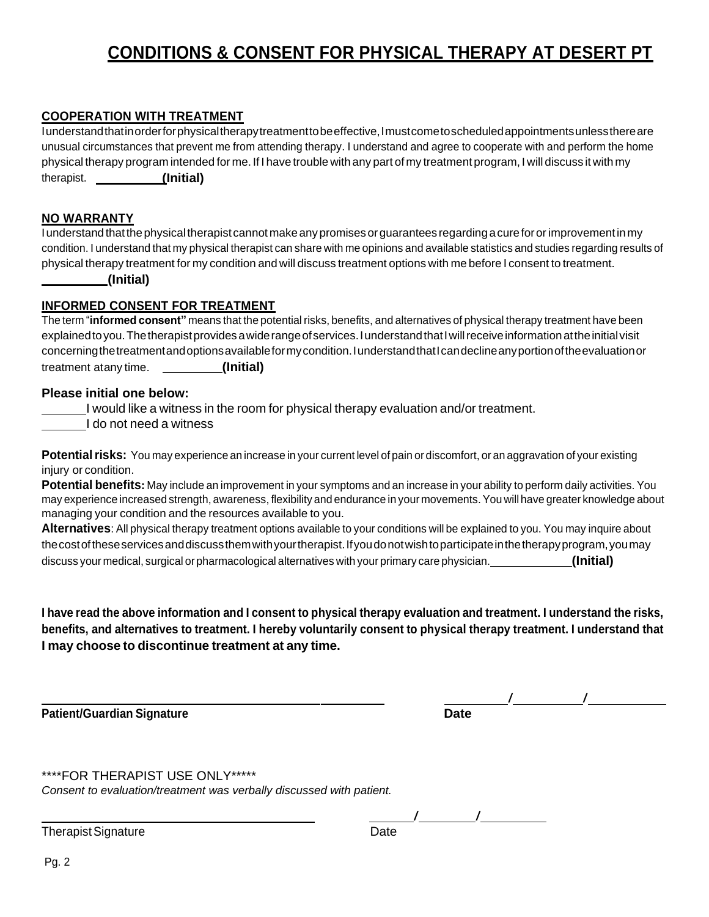# **CONDITIONS & CONSENT FOR PHYSICAL THERAPY AT DESERT PT**

#### **COOPERATION WITH TREATMENT**

Iunderstandthatinorderforphysicaltherapytreatmenttobeeffective,Imustcometoscheduledappointmentsunlessthereare unusual circumstances that prevent me from attending therapy. I understand and agree to cooperate with and perform the home physical therapy program intended for me. If I have trouble with any part of my treatment program, I will discuss it with my therapist. **(Initial)**

#### **NO WARRANTY**

I understand that the physical therapist cannot make any promises or guarantees regarding a cure for or improvement in my condition. I understand that my physical therapist can share with me opinions and available statistics and studies regarding results of physical therapy treatment for my condition and will discuss treatment options with me before I consent to treatment.

#### **(Initial)**

#### **INFORMED CONSENT FOR TREATMENT**

The term "**informed consent"** means that the potential risks, benefits, and alternatives of physical therapy treatment have been explainedtoyou.Thetherapistprovidesawiderangeofservices.IunderstandthatIwillreceiveinformationattheinitialvisit concerningthetreatmentandoptionsavailableformycondition.IunderstandthatIcandeclineanyportionoftheevaluationor treatment atany time. **(Initial)**

#### **Please initial one below:**

I would like a witness in the room for physical therapy evaluation and/or treatment.

I do not need a witness

**Potential risks:** You may experience an increase in your current level of pain or discomfort, or an aggravation of your existing injury or condition.

**Potential benefits:** May include an improvement in your symptoms and an increase in your ability to perform daily activities. You may experience increased strength, awareness, flexibility and endurance in your movements.You will have greater knowledge about managing your condition and the resources available to you.

**Alternatives**: All physical therapy treatment options available to your conditions will be explained to you. You may inquire about thecostoftheseservicesanddiscussthemwithyourtherapist.Ifyoudonotwishtoparticipateinthetherapyprogram,youmay discuss your medical, surgical or pharmacological alternatives with your primary care physician. **(Initial)**

I have read the above information and I consent to physical therapy evaluation and treatment. I understand the risks, benefits, and alternatives to treatment. I hereby voluntarily consent to physical therapy treatment. I understand that **I may choose to discontinue treatment at any time.**

**Patient/Guardian Signature Date** 

 $\frac{1}{2}$ 

\*\*\*\*FOR THERAPIST USE ONLY\*\*\*\*\*

*Consent to evaluation/treatment was verbally discussed with patient.*

Therapist Signature **Date** 

/ /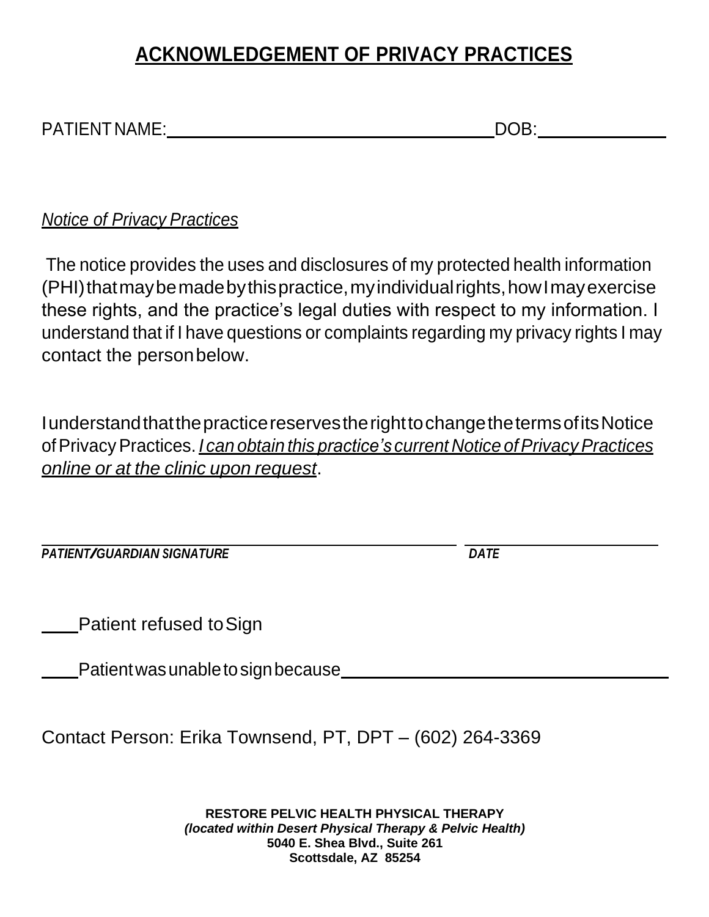# **ACKNOWLEDGEMENT OF PRIVACY PRACTICES**

| <b>PATIENT NAME:</b> |  |
|----------------------|--|

*Notice of Privacy Practices*

The notice provides the uses and disclosures of my protected health information (PHI)thatmay be made by this practice, my individual rights, how I may exercise these rights, and the practice's legal duties with respect to my information. I understand that if I have questions or complaints regarding my privacy rights I may contact the personbelow.

IunderstandthatthepracticereservestherighttochangethetermsofitsNotice ofPrivacyPractices. *I can obtain this practice's current Notice ofPrivacyPractices online or at the clinic upon request*.

*PATIENT/GUARDIAN SIGNATURE DATE*

Patient refused toSign

Patient was unable to sign because

Contact Person: Erika Townsend, PT, DPT – (602) 264-3369

**RESTORE PELVIC HEALTH PHYSICAL THERAPY** *(located within Desert Physical Therapy & Pelvic Health)* **5040 E. Shea Blvd., Suite 261 Scottsdale, AZ 85254**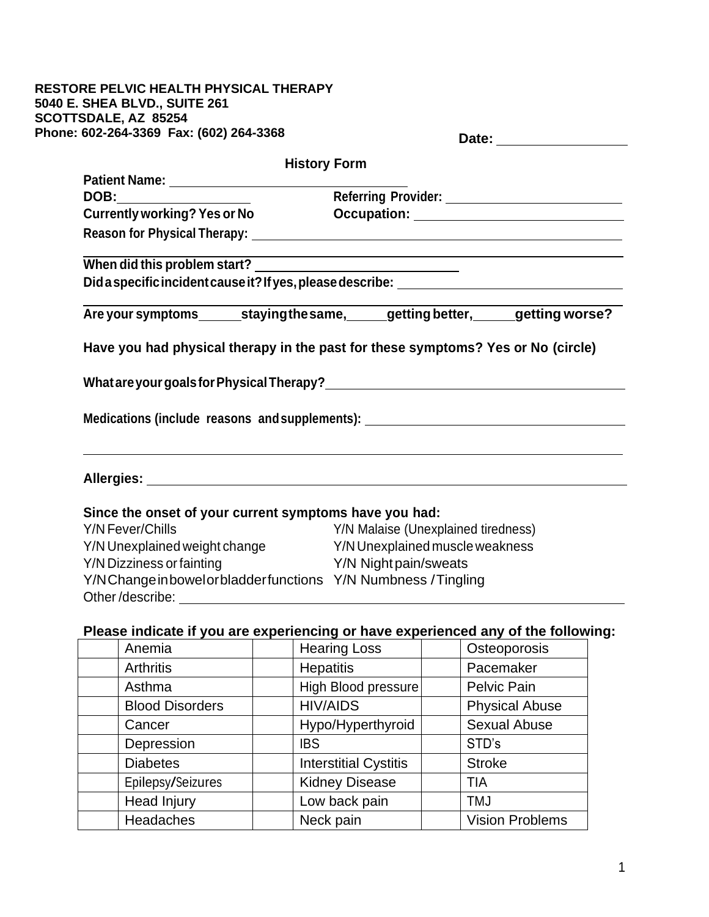#### **RESTORE PELVIC HEALTH PHYSICAL THERAPY 5040 E. SHEA BLVD., SUITE 261 SCOTTSDALE, AZ 85254** Phone:

|                                                            | Date: the contract of the contract of the contract of the contract of the contract of the contract of the contract of the contract of the contract of the contract of the contract of the contract of the contract of the cont |
|------------------------------------------------------------|--------------------------------------------------------------------------------------------------------------------------------------------------------------------------------------------------------------------------------|
| <b>History Form</b>                                        |                                                                                                                                                                                                                                |
|                                                            |                                                                                                                                                                                                                                |
|                                                            |                                                                                                                                                                                                                                |
| <b>Currently working? Yes or No</b>                        |                                                                                                                                                                                                                                |
|                                                            |                                                                                                                                                                                                                                |
|                                                            | <u> 1989 - Johann Stoff, amerikansk politiker (* 1908)</u>                                                                                                                                                                     |
|                                                            | Did a specific incident cause it? If yes, please describe: _____________________                                                                                                                                               |
|                                                            | Are your symptoms_______staying the same, ______getting better, ______getting worse?                                                                                                                                           |
|                                                            | Have you had physical therapy in the past for these symptoms? Yes or No (circle)                                                                                                                                               |
|                                                            |                                                                                                                                                                                                                                |
|                                                            | Medications (include reasons and supplements): _________________________________                                                                                                                                               |
|                                                            |                                                                                                                                                                                                                                |
| Since the onset of your current symptoms have you had:     |                                                                                                                                                                                                                                |
| Y/N Fever/Chills                                           | Y/N Malaise (Unexplained tiredness)                                                                                                                                                                                            |
| Y/N Unexplained weight change                              | Y/N Unexplained muscle weakness                                                                                                                                                                                                |
| Y/N Dizziness or fainting                                  | Y/N Night pain/sweats                                                                                                                                                                                                          |
| Y/NChangeinbowelorbladderfunctions Y/N Numbness / Tingling |                                                                                                                                                                                                                                |
| Other/describe:                                            |                                                                                                                                                                                                                                |

# **Please indicate if you are experiencing or have experienced any of the following:**

| Anemia                 | <b>Hearing Loss</b>          | Osteoporosis           |
|------------------------|------------------------------|------------------------|
| <b>Arthritis</b>       | <b>Hepatitis</b>             | Pacemaker              |
| Asthma                 | High Blood pressure          | Pelvic Pain            |
| <b>Blood Disorders</b> | <b>HIV/AIDS</b>              | <b>Physical Abuse</b>  |
| Cancer                 | Hypo/Hyperthyroid            | <b>Sexual Abuse</b>    |
| Depression             | <b>IBS</b>                   | STD's                  |
| <b>Diabetes</b>        | <b>Interstitial Cystitis</b> | <b>Stroke</b>          |
| Epilepsy/Seizures      | <b>Kidney Disease</b>        | TIA                    |
| Head Injury            | Low back pain                | <b>TMJ</b>             |
| Headaches              | Neck pain                    | <b>Vision Problems</b> |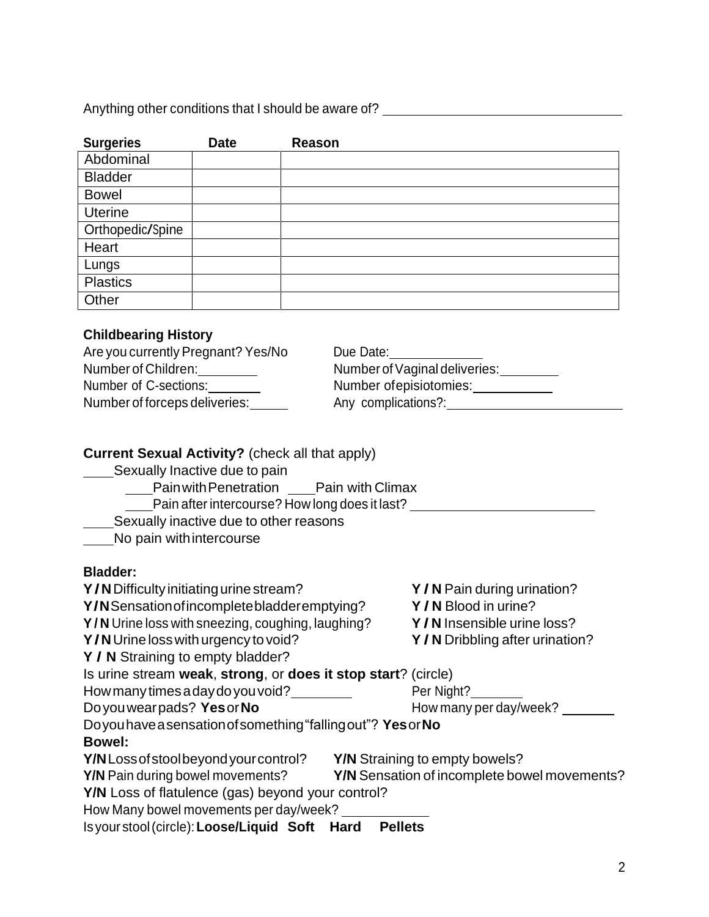Anything other conditions that I should be aware of? \_\_\_\_\_\_\_\_\_\_\_\_\_\_\_\_\_\_\_\_\_\_\_\_\_\_\_\_

| <b>Surgeries</b> | <b>Date</b> | <b>Reason</b> |
|------------------|-------------|---------------|
| Abdominal        |             |               |
| <b>Bladder</b>   |             |               |
| <b>Bowel</b>     |             |               |
| <b>Uterine</b>   |             |               |
| Orthopedic/Spine |             |               |
| Heart            |             |               |
| Lungs            |             |               |
| <b>Plastics</b>  |             |               |
| Other            |             |               |

## **Childbearing History**

| Are you currently Pregnant? Yes/No | Due Date:                     |
|------------------------------------|-------------------------------|
| Number of Children:                | Number of Vaginal deliveries: |
| Number of C-sections:              | Number of episiotomies:       |
| Number of forceps deliveries:      | Any complications?:           |

## **Current Sexual Activity?** (check all that apply)

- Sexually Inactive due to pain
	- **Pain with Penetration** Pain with Climax
		- Let pain after intercourse? How long does it last?
	- Sexually inactive due to other reasons

No pain withintercourse

## **Bladder:**

| Y/N Difficulty initiating urine stream?                       | Y/N Pain during urination?                   |
|---------------------------------------------------------------|----------------------------------------------|
| Y/N Sensation of incomplete bladder emptying?                 | Y/N Blood in urine?                          |
| Y/N Urine loss with sneezing, coughing, laughing?             | Y/N Insensible urine loss?                   |
| Y/N Urine loss with urgency to void?                          | Y/N Dribbling after urination?               |
| Y / N Straining to empty bladder?                             |                                              |
| Is urine stream weak, strong, or does it stop start? (circle) |                                              |
| How many times a day do you void?                             | Per Night?                                   |
| Do you wearpads? Yes or No                                    | How many per day/week?                       |
| Doyou have a sensation of something "falling out"? Yes or No  |                                              |
| <b>Bowel:</b>                                                 |                                              |
| Y/NLoss of stool beyond your control?                         | <b>Y/N</b> Straining to empty bowels?        |
| <b>Y/N</b> Pain during bowel movements?                       | Y/N Sensation of incomplete bowel movements? |
| Y/N Loss of flatulence (gas) beyond your control?             |                                              |
| How Many bowel movements per day/week?                        |                                              |
| Is your stool (circle): Loose/Liquid Soft Hard                | <b>Pellets</b>                               |